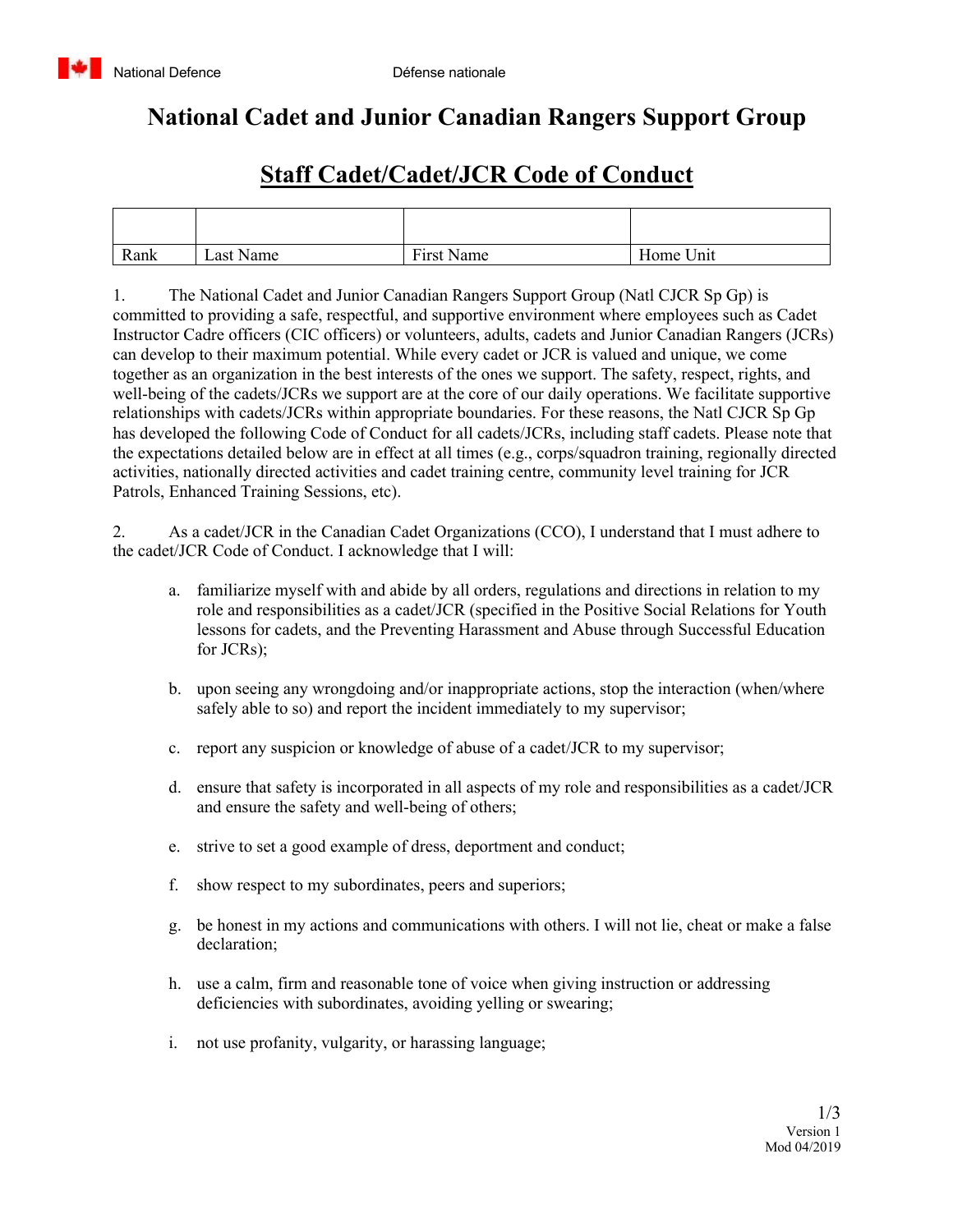## **National Cadet and Junior Canadian Rangers Support Group**

## **Staff Cadet/Cadet/JCR Code of Conduct**

| Rank | Last Name | First Name | Home Unit |
|------|-----------|------------|-----------|

1. The National Cadet and Junior Canadian Rangers Support Group (Natl CJCR Sp Gp) is committed to providing a safe, respectful, and supportive environment where employees such as Cadet Instructor Cadre officers (CIC officers) or volunteers, adults, cadets and Junior Canadian Rangers (JCRs) can develop to their maximum potential. While every cadet or JCR is valued and unique, we come together as an organization in the best interests of the ones we support. The safety, respect, rights, and well-being of the cadets/JCRs we support are at the core of our daily operations. We facilitate supportive relationships with cadets/JCRs within appropriate boundaries. For these reasons, the Natl CJCR Sp Gp has developed the following Code of Conduct for all cadets/JCRs, including staff cadets. Please note that the expectations detailed below are in effect at all times (e.g., corps/squadron training, regionally directed activities, nationally directed activities and cadet training centre, community level training for JCR Patrols, Enhanced Training Sessions, etc).

2. As a cadet/JCR in the Canadian Cadet Organizations (CCO), I understand that I must adhere to the cadet/JCR Code of Conduct. I acknowledge that I will:

- a. familiarize myself with and abide by all orders, regulations and directions in relation to my role and responsibilities as a cadet/JCR (specified in the Positive Social Relations for Youth lessons for cadets, and the Preventing Harassment and Abuse through Successful Education for JCRs);
- b. upon seeing any wrongdoing and/or inappropriate actions, stop the interaction (when/where safely able to so) and report the incident immediately to my supervisor;
- c. report any suspicion or knowledge of abuse of a cadet/JCR to my supervisor;
- d. ensure that safety is incorporated in all aspects of my role and responsibilities as a cadet/JCR and ensure the safety and well-being of others;
- e. strive to set a good example of dress, deportment and conduct;
- f. show respect to my subordinates, peers and superiors;
- g. be honest in my actions and communications with others. I will not lie, cheat or make a false declaration;
- h. use a calm, firm and reasonable tone of voice when giving instruction or addressing deficiencies with subordinates, avoiding yelling or swearing;
- i. not use profanity, vulgarity, or harassing language;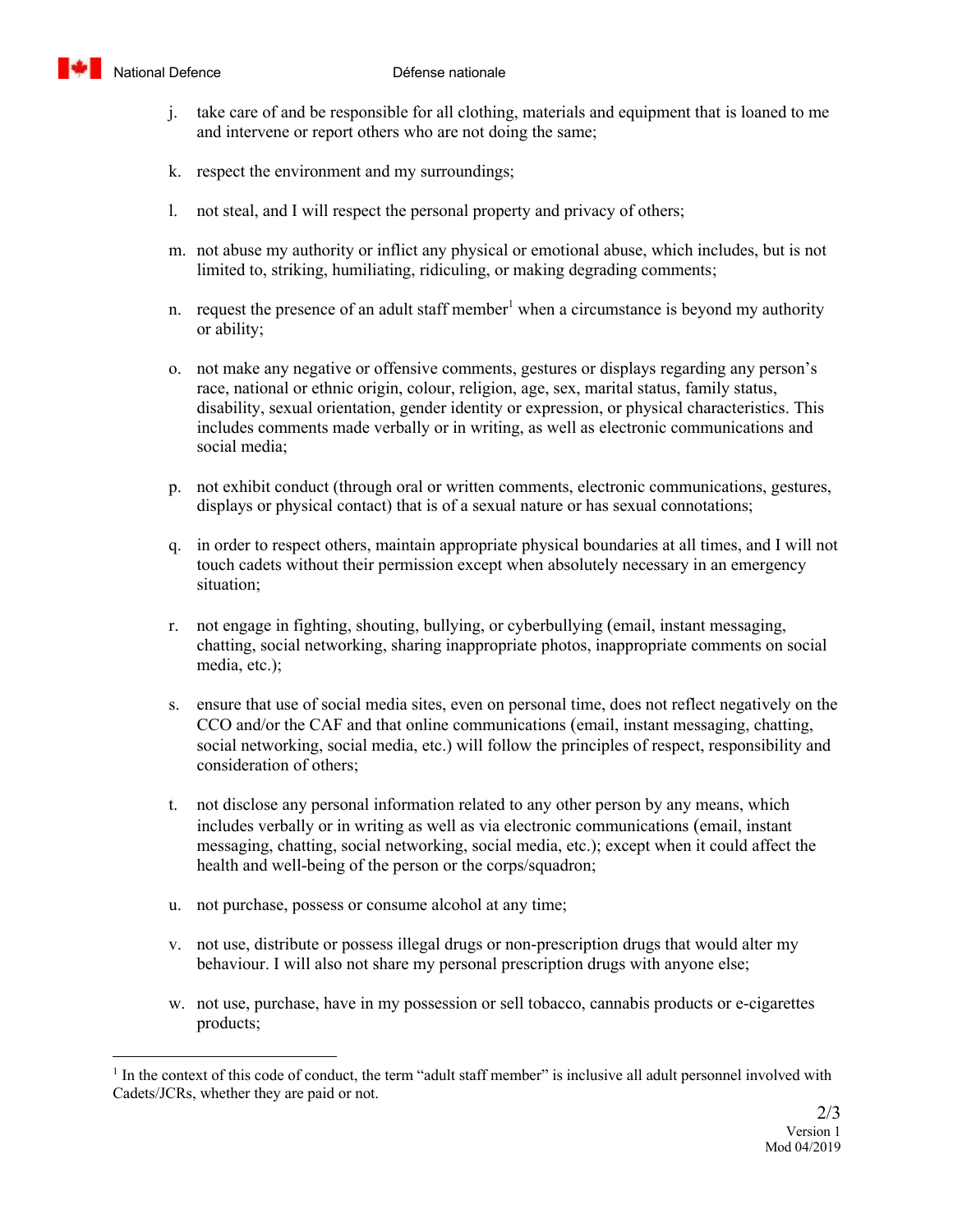

- j. take care of and be responsible for all clothing, materials and equipment that is loaned to me and intervene or report others who are not doing the same;
- k. respect the environment and my surroundings;
- l. not steal, and I will respect the personal property and privacy of others;
- m. not abuse my authority or inflict any physical or emotional abuse, which includes, but is not limited to, striking, humiliating, ridiculing, or making degrading comments;
- n. request the presence of an adult staff member<sup>1</sup> when a circumstance is beyond my authority or ability;
- o. not make any negative or offensive comments, gestures or displays regarding any person's race, national or ethnic origin, colour, religion, age, sex, marital status, family status, disability, sexual orientation, gender identity or expression, or physical characteristics. This includes comments made verbally or in writing, as well as electronic communications and social media;
- p. not exhibit conduct (through oral or written comments, electronic communications, gestures, displays or physical contact) that is of a sexual nature or has sexual connotations;
- q. in order to respect others, maintain appropriate physical boundaries at all times, and I will not touch cadets without their permission except when absolutely necessary in an emergency situation;
- r. not engage in fighting, shouting, bullying, or cyberbullying (email, instant messaging, chatting, social networking, sharing inappropriate photos, inappropriate comments on social media, etc.);
- s. ensure that use of social media sites, even on personal time, does not reflect negatively on the CCO and/or the CAF and that online communications (email, instant messaging, chatting, social networking, social media, etc.) will follow the principles of respect, responsibility and consideration of others;
- t. not disclose any personal information related to any other person by any means, which includes verbally or in writing as well as via electronic communications (email, instant messaging, chatting, social networking, social media, etc.); except when it could affect the health and well-being of the person or the corps/squadron;
- u. not purchase, possess or consume alcohol at any time;
- v. not use, distribute or possess illegal drugs or non-prescription drugs that would alter my behaviour. I will also not share my personal prescription drugs with anyone else;
- w. not use, purchase, have in my possession or sell tobacco, cannabis products or e-cigarettes products;

 $<sup>1</sup>$  In the context of this code of conduct, the term "adult staff member" is inclusive all adult personnel involved with</sup> Cadets/JCRs, whether they are paid or not.